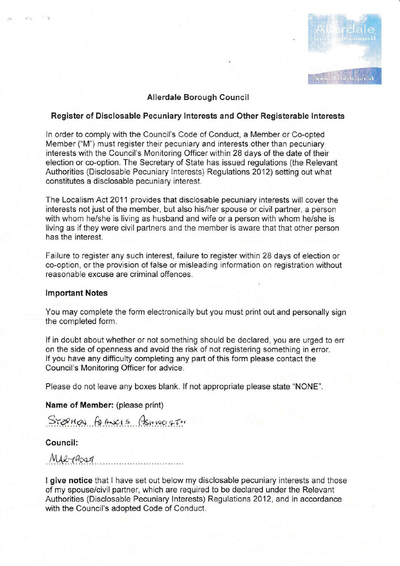

## Allerdale Borough Council

## Register of Disclosable Pecuniary Interests and Other Registerable Interests

in order to comply with the Council's Code of Conduct, a Member or Co-opted Member ("M") must register their pecuniary and interests other than pecuniary interests with the Council's Monitoring Officer within 28 days of the date of their election or co-option. The Secretary of State has issued regulations (the Relevant Authorities (Disclosable Pecuniary lnterests) Regulations 2012) setting out what constitutes a disclosable pecuniary interest.

The Localism Act 2011 provides that disclosable pecuniary interests will cover the interests not just of the member, but also his/her spouse or civil partner, a person with whom he/she is living as husband and wife or a person with whom he/she is living as if they were civil partners and the member is aware that that other person has the interest.

Failure to register any such interest, failure to register within 28 days of election or co-option, or the provision of false or misleading inforrnation on registration without reasonable excuse are criminal offences.

#### lmportant Notes

You may complete the form electronically but you must print out and personally sign the completed form.

lf in doubt about whether or not something should be declared, you are urged to err on the side of openness and avoid the risk of not registering something in error. lf you have any difficulty completing any part of this form please contact the Council's Monitoring Officer for advice.

Please do not leave any boxes blank. lf not appropriate please state "NONE".

Name of Member: (please print)

 $S$ resnas formacis Asmooqtu

# Council:

 $MAR$ - $10097$ 

I give notice that I have set out below my disclosable pecuniary interests and those of my spouse/civil partner, which are required to be declared under the Relevant Authorities (Disclosable Pecuniary lnterests) Regulations 2012, and in accordance with the Council's adopted Code of Conduct.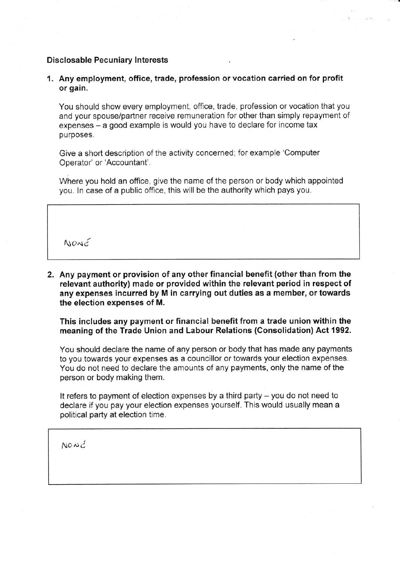## **Disclosable Pecuniary Interests**

1. Any employment, office, trade, profession or vocation carried on for profit or gain.

You should show every employment, office, trade, profession or vocation that you and your spouse/partner receive remuneration for other than simply repayment of expenses - a good example is would you have to declare for income tax purposes.

Give a short description of the activity concerned; for example 'Computer Operator' or 'Accountant'.

Where you hold an office, give the name of the person or body which appointed you. In case of a public office, this will be the authority which pays you.

 $N$  $O$  $N$  $c$ 

2. Any payment or provision of any other financial benefit (other than from the relevant authority) made or provided within the relevant period in respect of any expenses incurred by M in carrying out duties as a member, or towards the election expenses of M.

This includes any payment or financial benefit from a trade union within the meaning of the Trade Union and Labour Relations (Consolidation) Act 1992.

You should declare the name of any person or body that has made any payments to you towards your expenses as a councillor or towards your election expenses. You do not need to declare the amounts of any payments, only the name of the person or body making them.

It refers to payment of election expenses by a third party  $-$  you do not need to declare if you pay your election expenses yourself. This would usually mean a political party at election time.

 $N$  $\alpha$  $\alpha$  $\beta$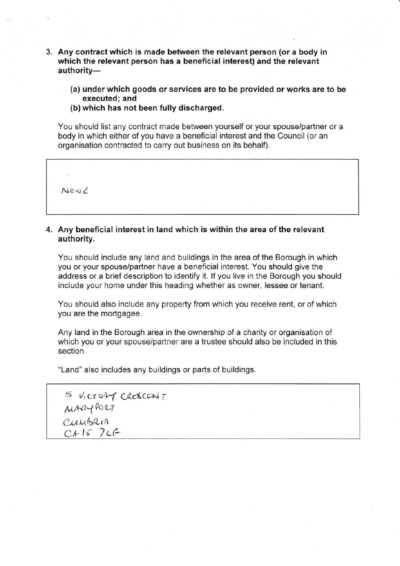- 3. Any contract which is made between the relevant person (or a body in which the relevant person has a beneficial interest) and the relevant authority-
	- (a) under which goods or services are to be provided or works are to be executed; and
	- (b) which has not been fully discharged.

You should list any contract made between yourself or your spouselpartner or a body in which either of you have a beneficial interest and the Council (or an organisation contracted to carry out business on its behalf).

 $N$ o ar  $C$ 

## 4. Any beneficial interest in land which is within the area of the relevant authority.

You should include any land and buildings in the area of the Borough in which you or your spouse/partner have a beneficial interest. You should give the address or a brief description to identify it. lf you live in the Borough you should include your home under this heading whether as owner, lessee or tenant.

You should also include any property from which you receive rent, or of which you are the mortgagee.

Any land in the Borough area in the ownership of a charity or organisation of which you or your spouse/partner are a trustee should also be included in this section.

"Land" also includes any buildings or parts of buildings.

| 5 VICTORY CRESCONT |  |
|--------------------|--|
| M1240027           |  |
| CUMBRIA            |  |
| CAIS 7CC           |  |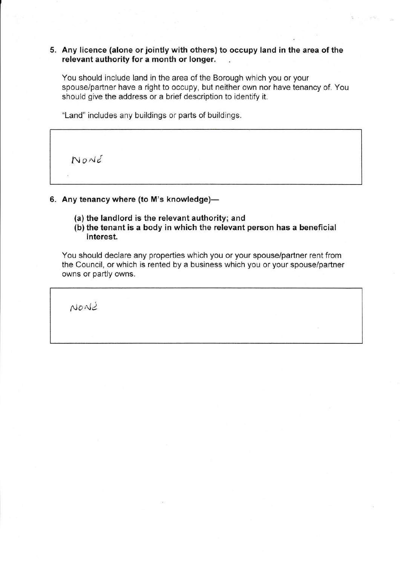# 5. Any licence (alone or jointly with others) to occupy land in the area of the relevant authority for a month or longer.

You should include land in the area of the Borough which you or your spouse/partner have a right to occupy, but neither own nor have tenancy of. You should give the address or a brief description to identify it.

"Land" includes any buildings or parts of buildings.

 $N$ *O* $N$  $t$ 

# 6. Any tenancy where (to M's knowledge)-

- (a) the landlord is the relevant authority; and
- (b) the tenant is a body in which the relevant person has a beneficial interest.

You should declare any properties which you or your spouse/partner rent from the Council, or which is rented by a business which you or your spouse/partner owns or partly owns.

NaaJi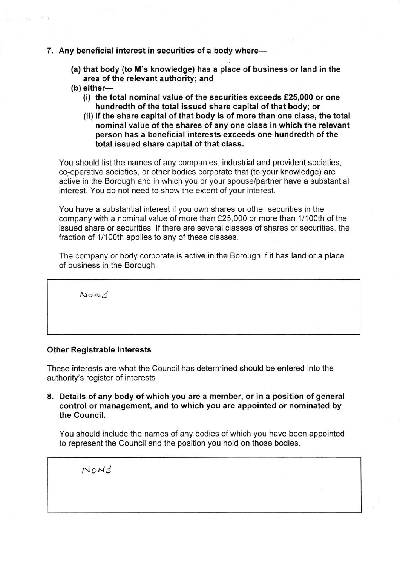## 7. Any beneficial interest in securities of a body where-

- (a) that body (to M's knowledge) has a place of business or land in the area of the relevant authority; and
- $(b)$  either-
	- (i) the total nominal value of the securities exceeds €25,000 or one hundredth of the total issued share capital of that body; or
	- (ii) if the share capital of that body is of more than one class, the total nominal value of the shares of any one class in which the relevant person has a beneficial interests exceeds one hundredth of the total issued share capital of that class.

You should list the names of any companies, industrial and provident societies, co-operative societies, or other bodies corporate that (to your knowledge) are active in the Borough and in which you or your spouse/partner have a substantial interest. You do not need to show the extent of your interest.

You have a substantial interest if you own shares or other securities in the company with a nominal value of more than f25,000 or more than 1/100th of the issued share or securities. lf there are several classes of shares or securities, the fraction of 1/100th applies to any of these classes.

The company or body corporate is active in the Borough if it has land or a place of business in the Borough.

 $NoQ$ 

#### Other Registrable lnterests

These interests are what the Council has determined should be entered into the authority's register of interests

8. Details of any body of which you are a member, or in a position of general control or management, and to which you are appointed or nominated by the Council.

You should include the names of any bodies of which you have been appointed to represent the Council and the position you hold on those bodies.

 $N$ <sub>O</sub> $N$  $\leq$